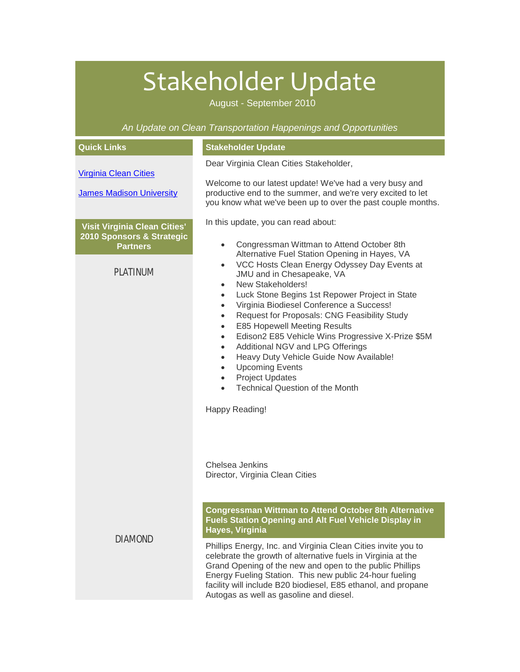# Stakeholder Update

August - September 2010

*An Update on Clean Transportation Happenings and Opportunities*

| <b>Quick Links</b>                           | <b>Stakeholder Update</b>                                                                                                                                                                                                                                                                                                                                                                                                                                                                                                                                                                                                                                                                                                                                                                                                         |
|----------------------------------------------|-----------------------------------------------------------------------------------------------------------------------------------------------------------------------------------------------------------------------------------------------------------------------------------------------------------------------------------------------------------------------------------------------------------------------------------------------------------------------------------------------------------------------------------------------------------------------------------------------------------------------------------------------------------------------------------------------------------------------------------------------------------------------------------------------------------------------------------|
| <b>Virginia Clean Cities</b>                 | Dear Virginia Clean Cities Stakeholder,                                                                                                                                                                                                                                                                                                                                                                                                                                                                                                                                                                                                                                                                                                                                                                                           |
| <b>James Madison University</b>              | Welcome to our latest update! We've had a very busy and<br>productive end to the summer, and we're very excited to let<br>you know what we've been up to over the past couple months.                                                                                                                                                                                                                                                                                                                                                                                                                                                                                                                                                                                                                                             |
| Visit Virginia Clean Cities'                 | In this update, you can read about:                                                                                                                                                                                                                                                                                                                                                                                                                                                                                                                                                                                                                                                                                                                                                                                               |
| 2010 Sponsors & Strategic<br><b>Partners</b> | Congressman Wittman to Attend October 8th<br>$\bullet$<br>Alternative Fuel Station Opening in Hayes, VA<br>VCC Hosts Clean Energy Odyssey Day Events at<br>$\bullet$<br>JMU and in Chesapeake, VA<br>New Stakeholders!<br>$\bullet$<br>Luck Stone Begins 1st Repower Project in State<br>$\bullet$<br>Virginia Biodiesel Conference a Success!<br>$\bullet$<br>Request for Proposals: CNG Feasibility Study<br>$\bullet$<br><b>E85 Hopewell Meeting Results</b><br>$\bullet$<br>Edison2 E85 Vehicle Wins Progressive X-Prize \$5M<br>$\bullet$<br>Additional NGV and LPG Offerings<br>$\bullet$<br>Heavy Duty Vehicle Guide Now Available!<br>$\bullet$<br><b>Upcoming Events</b><br>$\bullet$<br><b>Project Updates</b><br>$\bullet$<br><b>Technical Question of the Month</b><br>$\bullet$<br>Happy Reading!<br>Chelsea Jenkins |
| <b>PLATINUM</b>                              |                                                                                                                                                                                                                                                                                                                                                                                                                                                                                                                                                                                                                                                                                                                                                                                                                                   |
| <b>DIAMOND</b>                               | Director, Virginia Clean Cities<br><b>Congressman Wittman to Attend October 8th Alternative</b><br><b>Fuels Station Opening and Alt Fuel Vehicle Display in</b><br>Hayes, Virginia                                                                                                                                                                                                                                                                                                                                                                                                                                                                                                                                                                                                                                                |
|                                              | Phillips Energy, Inc. and Virginia Clean Cities invite you to<br>celebrate the growth of alternative fuels in Virginia at the<br>Grand Opening of the new and open to the public Phillips<br>Energy Fueling Station. This new public 24-hour fueling<br>facility will include B20 biodiesel, E85 ethanol, and propane<br>Autogas as well as gasoline and diesel.                                                                                                                                                                                                                                                                                                                                                                                                                                                                  |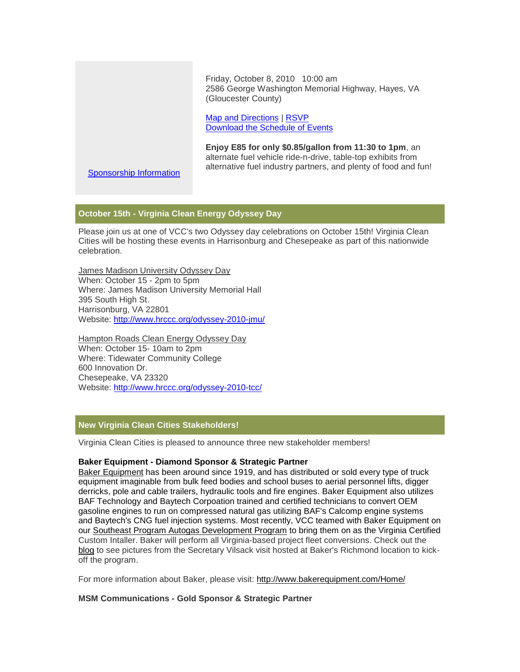Friday, October 8, 2010 10:00 am 2586 George Washington Memorial Highway, Hayes, VA (Gloucester County)

[Map and Directions](https://pod51004.outlook.com/owa/redir.aspx?C=c55b5d8da5504e4b9d2a6b162813bcad&URL=http%3a%2f%2fr20.rs6.net%2ftn.jsp%3fllr%3dtdq8upcab%26et%3d1103711535908%26s%3d2933%26e%3d0016nwpHU_tBQDiwU6yVQiqZ65R5BEYmricBT44Zf2RclFgIMI20fAB9wc7uB1HgqCdY24nnzOsQF4gNOO3EXD-xveXtA4VUZNZ5QCVaMVd94HI4gbtXBzXHHBy9CXpHpFnVy0zquczNKEHAD6u5q1S74KbvvITs4C1oAco5BDCNa2AztV36xH3EBrR3tFrpNU0B-rbziUQXAG_Jzp9HiogUEd03PFljxEPg7b28TT3Oyc%3d) | [RSVP](https://pod51004.outlook.com/owa/redir.aspx?C=c55b5d8da5504e4b9d2a6b162813bcad&URL=http%3a%2f%2fr20.rs6.net%2ftn.jsp%3fllr%3dtdq8upcab%26et%3d1103711535908%26s%3d2933%26e%3d0016nwpHU_tBQB-ExFEtOWYG6-byAqpJRwB_Mf4xyOFnhZv_qgoTzjzokxsRvvGbfuGlJYlVQRxAVnoKuStJ4Xi_vpar4gpmU9Ty0ftgG58FQuna8vhcUoUEpK8bmKlpCpwHHvrSvEB900hnRBBOQ9rSeosNqQaXol_D0pYkJ8JLlw%3d) [Download the Schedule of Events](https://pod51004.outlook.com/owa/redir.aspx?C=c55b5d8da5504e4b9d2a6b162813bcad&URL=http%3a%2f%2fr20.rs6.net%2ftn.jsp%3fllr%3dtdq8upcab%26et%3d1103711535908%26s%3d2933%26e%3d0016nwpHU_tBQDIocM8wt75VH5pXA6dyLZZgqvVd5s0k3fqbAY49ax61IK7rgHJRkVVNdg7WRWQp0WngP7tixsEpBr8PB6DcOjgaAlmdfMl43l0koxsnjVD7usOY9q57yo5LP-TvWMJEjNxrwd1RsKUaiv_H0KjTrJ0xjMuxkreN6Mguk7b3T5HojIm0EBYMcKaGAvUmWyWxgk%3d)

**Enjoy E85 for only \$0.85/gallon from 11:30 to 1pm**, an alternate fuel vehicle ride-n-drive, table-top exhibits from alternative fuel industry partners, and plenty of food and fun!

[Sponsorship Information](https://pod51004.outlook.com/owa/redir.aspx?C=c55b5d8da5504e4b9d2a6b162813bcad&URL=http%3a%2f%2fr20.rs6.net%2ftn.jsp%3fllr%3dtdq8upcab%26et%3d1103711535908%26s%3d2933%26e%3d0016nwpHU_tBQBp3Y0E0zNVvVsrTLd0irslkJC__5aHtlbtOnvFCGwU5AnRwEZuSh7ekEgDi4-FKRwhcaT3I5FmDnmySsan7ChQAzWyAx-pVvgK0n7PQkNiaguzuZwEb4JwpkwGdveyzKaBpDHDLkAAzg%3d%3d)

# **October 15th - Virginia Clean Energy Odyssey Day**

Please join us at one of VCC's two Odyssey day celebrations on October 15th! Virginia Clean Cities will be hosting these events in Harrisonburg and Chesepeake as part of this nationwide celebration.

James Madison University Odyssey Day When: October 15 - 2pm to 5pm Where: James Madison University Memorial Hall 395 South High St. Harrisonburg, VA 22801 Website: [http://www.hrccc.org/odyssey-2010-jmu/](https://pod51004.outlook.com/owa/redir.aspx?C=c55b5d8da5504e4b9d2a6b162813bcad&URL=http%3a%2f%2fr20.rs6.net%2ftn.jsp%3fllr%3dtdq8upcab%26et%3d1103711535908%26s%3d2933%26e%3d0016nwpHU_tBQDpK8cEBpuakO8kyQLIrfLyYJu9sCtTuwY-eAsWJiKTxbVaL9QcEw4kz4RFsfcXjPrczn1J8AtbT5NcMNZktAYhKP8aRXKLwd0XU7B5tFKL4_pddlbr-fzk2pMQAsVD-Fs%3d)

Hampton Roads Clean Energy Odyssey Day When: October 15- 10am to 2pm Where: Tidewater Community College 600 Innovation Dr. Chesepeake, VA 23320 Website: [http://www.hrccc.org/odyssey-2010-tcc/](https://pod51004.outlook.com/owa/redir.aspx?C=c55b5d8da5504e4b9d2a6b162813bcad&URL=http%3a%2f%2fr20.rs6.net%2ftn.jsp%3fllr%3dtdq8upcab%26et%3d1103711535908%26s%3d2933%26e%3d0016nwpHU_tBQCgCwG0s3lmRkGLe7I-e4Vk1nQhMhEsdl8ZRa2A1oy44luRRSRyTcuOR76e6HbBr_BkHzRtWS9R2vchY0pdkjC1lq2xmPYqbMKGjB_n1UQyd3Qv6rS2SL3XgptT0FrMzNc%3d)

# **New Virginia Clean Cities Stakeholders!**

Virginia Clean Cities is pleased to announce three new stakeholder members!

# **Baker Equipment - Diamond Sponsor & Strategic Partner**

[Baker Equipment](https://pod51004.outlook.com/owa/redir.aspx?C=c55b5d8da5504e4b9d2a6b162813bcad&URL=http%3a%2f%2fr20.rs6.net%2ftn.jsp%3fllr%3dtdq8upcab%26et%3d1103711535908%26s%3d2933%26e%3d0016nwpHU_tBQC3pYqiNd-efNarRTyUF6s85tkBh3_oeDEz0jRU3DVE_HwgxEoAt2B1vm4NSGDiT6MC_v3yOkMWdYtAy8uu5HgAiBq7eMdUIJqGh8BG4m7FrSnwFhb3g4d-) has been around since 1919, and has distributed or sold every type of truck equipment imaginable from bulk feed bodies and school buses to aerial personnel lifts, digger derricks, pole and cable trailers, hydraulic tools and fire engines. Baker Equipment also utilizes BAF Technology and Baytech Corpoation trained and certified technicians to convert OEM gasoline engines to run on compressed natural gas utilizing BAF's Calcomp engine systems and Baytech's CNG fuel injection systems. Most recently, VCC teamed with Baker Equipment on our [Southeast Program Autogas Development Program](https://pod51004.outlook.com/owa/redir.aspx?C=c55b5d8da5504e4b9d2a6b162813bcad&URL=http%3a%2f%2fr20.rs6.net%2ftn.jsp%3fllr%3dtdq8upcab%26et%3d1103711535908%26s%3d2933%26e%3d0016nwpHU_tBQDhb-WSxho5fQKaxZU0TNOFOKCPTV_FhZZ1lne32wQG5t-xxmN9VOlsVKtLZ1LPjLt2cnxaLGrY5NBX9Oddyd0gKnvlCmYtYNyTP1611ZNK0g%3d%3d) to bring them on as the Virginia Certified Custom Intaller. Baker will perform all Virginia-based project fleet conversions. Check out the [blog](https://pod51004.outlook.com/owa/redir.aspx?C=c55b5d8da5504e4b9d2a6b162813bcad&URL=http%3a%2f%2fr20.rs6.net%2ftn.jsp%3fllr%3dtdq8upcab%26et%3d1103711535908%26s%3d2933%26e%3d0016nwpHU_tBQArv1Q11ieO_VkWvIIN-fZpQ9CbA73yV2DKVBscS1gWXu8A3Xe4A8hudGNGdBaBlrf1JjATzprabj-kNGUKEi9eRNFk1wnCuL5QmfGDtTqH2Cw-2CtXmFhCb6a2Ml9aOW0%3d) to see pictures from the Secretary Vilsack visit hosted at Baker's Richmond location to kickoff the program.

For more information about Baker, please visit: [http://www.bakerequipment.com/Home/](https://pod51004.outlook.com/owa/redir.aspx?C=c55b5d8da5504e4b9d2a6b162813bcad&URL=http%3a%2f%2fr20.rs6.net%2ftn.jsp%3fllr%3dtdq8upcab%26et%3d1103711535908%26s%3d2933%26e%3d0016nwpHU_tBQC3pYqiNd-efNarRTyUF6s85tkBh3_oeDEz0jRU3DVE_HwgxEoAt2B1vm4NSGDiT6MC_v3yOkMWdYtAy8uu5HgAiBq7eMdUIJqGh8BG4m7FrSnwFhb3g4d-)

# **MSM Communications - Gold Sponsor & Strategic Partner**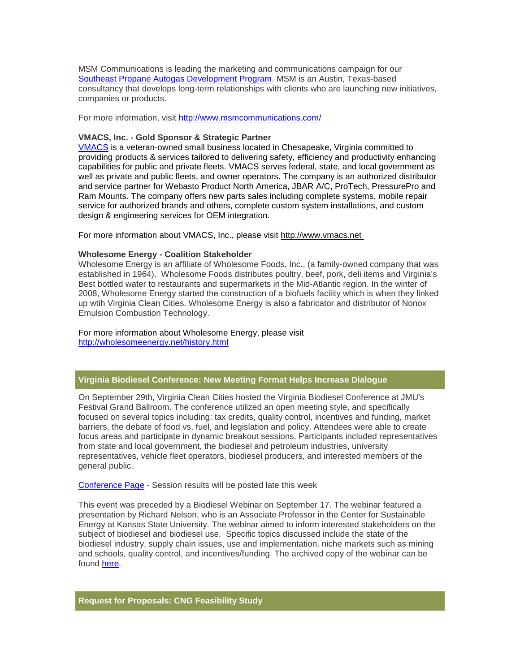MSM Communications is leading the marketing and communications campaign for our [Southeast Propane Autogas Development Program.](https://pod51004.outlook.com/owa/redir.aspx?C=c55b5d8da5504e4b9d2a6b162813bcad&URL=http%3a%2f%2fr20.rs6.net%2ftn.jsp%3fllr%3dtdq8upcab%26et%3d1103711535908%26s%3d2933%26e%3d0016nwpHU_tBQCdbSMWdiiHQq13pJrTd2fmNWHRFVla-Jw4yPc36FHxD-BgBpX4-hhcDOYEnSHp7IyN-wZxa76kVrY7QaduGyLGNDts3cW6BslRismhWG1eS3PqD_D2Wi0B) MSM is an Austin, Texas-based consultancy that develops long-term relationships with clients who are launching new initiatives, companies or products.

For more information, visit [http://www.msmcommunications.com/](https://pod51004.outlook.com/owa/redir.aspx?C=c55b5d8da5504e4b9d2a6b162813bcad&URL=http%3a%2f%2fr20.rs6.net%2ftn.jsp%3fllr%3dtdq8upcab%26et%3d1103711535908%26s%3d2933%26e%3d0016nwpHU_tBQCIQ41grVs26P97bDLmQAdYVpZBIRWyHBqmzNJR-JPkKAM_qqzKJJc5QqeWnkOl921RFoCmGIXi0Zu6EfrWPO7HWm0oeq3IRNVmHjIl3q9Ch2cycAo3Ljgn)

#### **VMACS, Inc. - Gold Sponsor & Strategic Partner**

[VMACS](https://pod51004.outlook.com/owa/redir.aspx?C=c55b5d8da5504e4b9d2a6b162813bcad&URL=http%3a%2f%2fr20.rs6.net%2ftn.jsp%3fllr%3dtdq8upcab%26et%3d1103711535908%26s%3d2933%26e%3d0016nwpHU_tBQC5TECiT3yy5Y4oD_T6_HGckwvJUvJNM0xDgiRksT85u6wCVAKJL5V4zO2TTuryuWvW3xhuCQSEgoFYWZr3FGU0pkt9sGhbUa0%3d) is a veteran-owned small business located in Chesapeake, Virginia committed to providing products & services tailored to delivering safety, efficiency and productivity enhancing capabilities for public and private fleets. VMACS serves federal, state, and local government as well as private and public fleets, and owner operators. The company is an authorized distributor and service partner for Webasto Product North America, JBAR A/C, ProTech, PressurePro and Ram Mounts. The company offers new parts sales including complete systems, mobile repair service for authorized brands and others, complete custom system installations, and custom design & engineering services for OEM integration.

For more information about VMACS, Inc., please visit [http://www.vmacs.net](https://pod51004.outlook.com/owa/redir.aspx?C=c55b5d8da5504e4b9d2a6b162813bcad&URL=http%3a%2f%2fr20.rs6.net%2ftn.jsp%3fllr%3dtdq8upcab%26et%3d1103711535908%26s%3d2933%26e%3d0016nwpHU_tBQBow0sshNhIojDcNjWiaZT5QQGdOsPFlzud-pni-ITi4lCeMpDxgsXRNqGfoOXwjbcfSCA43McAk2B9Lbq3DZUBlazbG0ydBWw%3d)

#### **Wholesome Energy - Coalition Stakeholder**

Wholesome Energy is an affiliate of Wholesome Foods, Inc., (a family-owned company that was established in 1964). Wholesome Foods distributes poultry, beef, pork, deli items and Virginia's Best bottled water to restaurants and supermarkets in the Mid-Atlantic region. In the winter of 2008, Wholesome Energy started the construction of a biofuels facility which is when they linked up wtih Virginia Clean Cities. Wholesome Energy is also a fabricator and distributor of Nonox Emulsion Combustion Technology.

#### For more information about Wholesome Energy, please visit [http://wholesomeenergy.net/history.html](https://pod51004.outlook.com/owa/redir.aspx?C=c55b5d8da5504e4b9d2a6b162813bcad&URL=http%3a%2f%2fr20.rs6.net%2ftn.jsp%3fllr%3dtdq8upcab%26et%3d1103711535908%26s%3d2933%26e%3d0016nwpHU_tBQAhoCPutnRLBK7WSFjNMMoIHYsBYNhOKbDcZqGv5heBZ-Sjq7Nija4abd2G3-NinVQJv2j63MbtFyGM18gzOGeGJ2I80d-oC3ANZH43pbKO4Nrx4gxtu883ugkxbZuEbr0%3d)

# **Virginia Biodiesel Conference: New Meeting Format Helps Increase Dialogue**

On September 29th, Virginia Clean Cities hosted the Virginia Biodiesel Conference at JMU's Festival Grand Ballroom. The conference utilized an open meeting style, and specifically focused on several topics including: tax credits, quality control, incentives and funding, market barriers, the debate of food vs. fuel, and legislation and policy. Attendees were able to create focus areas and participate in dynamic breakout sessions. Participants included representatives from state and local government, the biodiesel and petroleum industries, university representatives, vehicle fleet operators, biodiesel producers, and interested members of the general public.

[Conference Page](https://pod51004.outlook.com/owa/redir.aspx?C=c55b5d8da5504e4b9d2a6b162813bcad&URL=http%3a%2f%2fr20.rs6.net%2ftn.jsp%3fllr%3dtdq8upcab%26et%3d1103711535908%26s%3d2933%26e%3d0016nwpHU_tBQBiURlmzUxyTE5LlBFrXj1JmPHV0HSlUSu_KdiRQROScG3ylLPzTmVmN-Qq2eL226b-hZQLkl-6iOv283fFIdOwcQF3xPTdz0pdFaMrjh29ak1n1Oq9EolVsCRtfDqv3uagY7zlUJjP_zaGoAxoB_mF7LU5zp-4T3gNMCqqGzdePyISYo7hiqZ0Nilawe4S7x6W1CyTzK3rSA%3d%3d) - Session results will be posted late this week

This event was preceded by a Biodiesel Webinar on September 17. The webinar featured a presentation by Richard Nelson, who is an Associate Professor in the Center for Sustainable Energy at Kansas State University. The webinar aimed to inform interested stakeholders on the subject of biodiesel and biodiesel use. Specific topics discussed include the state of the biodiesel industry, supply chain issues, use and implementation, niche markets such as mining and schools, quality control, and incentives/funding. The archived copy of the webinar can be found [here.](https://pod51004.outlook.com/owa/redir.aspx?C=c55b5d8da5504e4b9d2a6b162813bcad&URL=http%3a%2f%2fr20.rs6.net%2ftn.jsp%3fllr%3dtdq8upcab%26et%3d1103711535908%26s%3d2933%26e%3d0016nwpHU_tBQB5ExI8dIXaPjCF86xIZr3TGDgS10rnbYj7H0MTW_PygRlp8hd5EosWCeCyoVvX5GE5S77HUm0leTYu3Na9x_gyJhXoMGMLjSHtlQYH2wUDScLg27fQQceZw2rg6UokBAptVcEamjZzhJjNFqnkfD3u)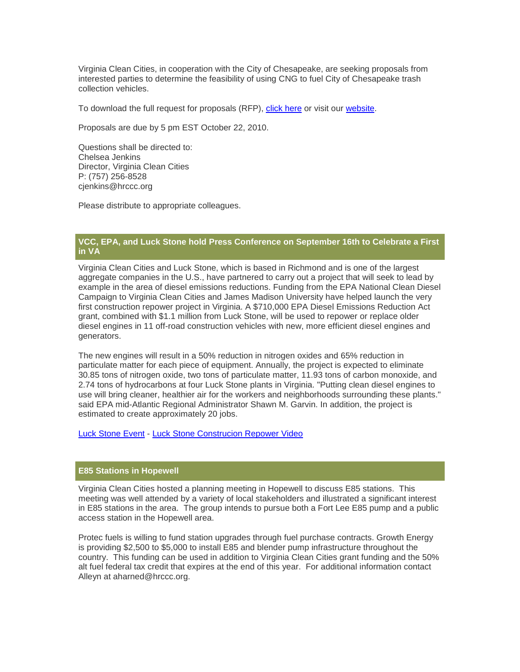Virginia Clean Cities, in cooperation with the City of Chesapeake, are seeking proposals from interested parties to determine the feasibility of using CNG to fuel City of Chesapeake trash collection vehicles.

To download the full request for proposals (RFP), [click here](https://pod51004.outlook.com/owa/redir.aspx?C=c55b5d8da5504e4b9d2a6b162813bcad&URL=http%3a%2f%2fr20.rs6.net%2ftn.jsp%3fllr%3dtdq8upcab%26et%3d1103711535908%26s%3d2933%26e%3d0016nwpHU_tBQDQuYE7elEH9HPQkRqbFzN7TgGA6N2ZsB204IMKPMlWTjNubOvJ6jpdceRSU0ajghE5RvzrN0eTC7d3E9R5ofXXsDWvDfu30fJdYFtoZ3mibG09y4963XWQ5RNsILpLeLqRGotkConXCAgAvIhlijAOgBwuTEEGKG5J3xdRsKPVpL4_Q7opPTybr53gbK8F7E0%3d) or visit our [website.](https://pod51004.outlook.com/owa/redir.aspx?C=c55b5d8da5504e4b9d2a6b162813bcad&URL=http%3a%2f%2fr20.rs6.net%2ftn.jsp%3fllr%3dtdq8upcab%26et%3d1103711535908%26s%3d2933%26e%3d0016nwpHU_tBQCYow8wd9kX5P6PT0oIYuNKycAbSWk7-a8WCGiWxi87u8cHQFXBMLrFeXDqqHCVyYQBFRqXcNvfKZhJDlUkZHM8c2w3uWeCupk0XsQVA9eFE-cEYm8_CKOhZztCNZ9kHVbj9GlwmsDxqYurboYXiVvT)

Proposals are due by 5 pm EST October 22, 2010.

Questions shall be directed to: Chelsea Jenkins Director, Virginia Clean Cities P: (757) 256-8528 cjenkins@hrccc.org

Please distribute to appropriate colleagues.

# **VCC, EPA, and Luck Stone hold Press Conference on September 16th to Celebrate a First in VA**

Virginia Clean Cities and Luck Stone, which is based in Richmond and is one of the largest aggregate companies in the U.S., have partnered to carry out a project that will seek to lead by example in the area of diesel emissions reductions. Funding from the EPA National Clean Diesel Campaign to Virginia Clean Cities and James Madison University have helped launch the very first construction repower project in Virginia. A \$710,000 EPA Diesel Emissions Reduction Act grant, combined with \$1.1 million from Luck Stone, will be used to repower or replace older diesel engines in 11 off-road construction vehicles with new, more efficient diesel engines and generators.

The new engines will result in a 50% reduction in nitrogen oxides and 65% reduction in particulate matter for each piece of equipment. Annually, the project is expected to eliminate 30.85 tons of nitrogen oxide, two tons of particulate matter, 11.93 tons of carbon monoxide, and 2.74 tons of hydrocarbons at four Luck Stone plants in Virginia. "Putting clean diesel engines to use will bring cleaner, healthier air for the workers and neighborhoods surrounding these plants." said EPA mid-Atlantic Regional Administrator Shawn M. Garvin. In addition, the project is estimated to create approximately 20 jobs.

[Luck Stone Event](https://pod51004.outlook.com/owa/redir.aspx?C=c55b5d8da5504e4b9d2a6b162813bcad&URL=http%3a%2f%2fr20.rs6.net%2ftn.jsp%3fllr%3dtdq8upcab%26et%3d1103711535908%26s%3d2933%26e%3d0016nwpHU_tBQAby2AjuP4Dginjli1vNyOYdgAca21RpoFKGbKAXUY5T_G4G4T6caXDIvQ6mpGlDRLczNcJoBQPnP9pFw0M7qWgKWqL5XIKwXQk4FXU1Bde-DqEmNbv9euQkS8DgY_-KhtMt1McLPkZFBhhk4hE0sMHWBehAkRRIGPS2WXWqpqGkw4ncG9E4-M1qXWJknNSJ37NtgU4Wc4Y3g%3d%3d) - [Luck Stone Construcion Repower Video](https://pod51004.outlook.com/owa/redir.aspx?C=c55b5d8da5504e4b9d2a6b162813bcad&URL=http%3a%2f%2fr20.rs6.net%2ftn.jsp%3fllr%3dtdq8upcab%26et%3d1103711535908%26s%3d2933%26e%3d0016nwpHU_tBQBaLPcVE8CSY05ykCLw8Lxw6vjX6Cd-Rm1InjgjHh-v45No0FK290qV-4aQvA2LBp-gmm4sSSxY_ZLGnFGAqXyQrsHIpDaxDutZdaCRKjxSAhDtoXFN7YiXJBCcQfR0nSXTJ4S728lvJ98F-TW9F9TEbwgrVnQ_EadMsd-BFWW51Q%3d%3d)

#### **E85 Stations in Hopewell**

Virginia Clean Cities hosted a planning meeting in Hopewell to discuss E85 stations. This meeting was well attended by a variety of local stakeholders and illustrated a significant interest in E85 stations in the area. The group intends to pursue both a Fort Lee E85 pump and a public access station in the Hopewell area.

Protec fuels is willing to fund station upgrades through fuel purchase contracts. Growth Energy is providing \$2,500 to \$5,000 to install E85 and blender pump infrastructure throughout the country. This funding can be used in addition to Virginia Clean Cities grant funding and the 50% alt fuel federal tax credit that expires at the end of this year. For additional information contact Alleyn at aharned@hrccc.org.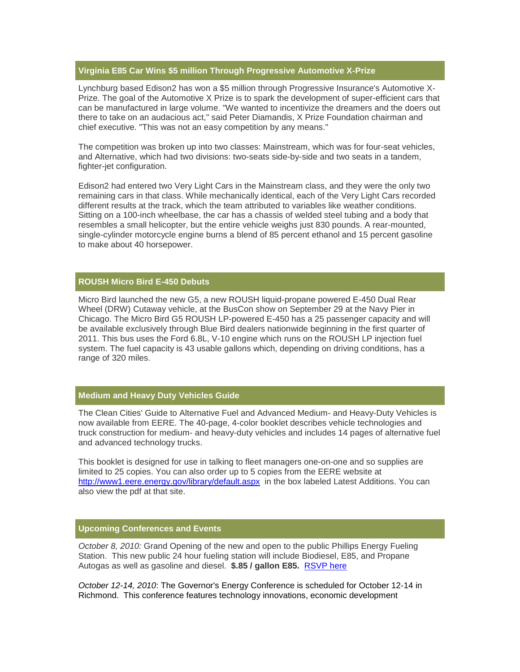# **Virginia E85 Car Wins \$5 million Through Progressive Automotive X-Prize**

Lynchburg based Edison2 has won a \$5 million through Progressive Insurance's Automotive X-Prize. The goal of the Automotive X Prize is to spark the development of super-efficient cars that can be manufactured in large volume. "We wanted to incentivize the dreamers and the doers out there to take on an audacious act," said Peter Diamandis, X Prize Foundation chairman and chief executive. "This was not an easy competition by any means."

The competition was broken up into two classes: Mainstream, which was for four-seat vehicles, and Alternative, which had two divisions: two-seats side-by-side and two seats in a tandem, fighter-jet configuration.

Edison2 had entered two Very Light Cars in the Mainstream class, and they were the only two remaining cars in that class. While mechanically identical, each of the Very Light Cars recorded different results at the track, which the team attributed to variables like weather conditions. Sitting on a 100-inch wheelbase, the car has a chassis of welded steel tubing and a body that resembles a small helicopter, but the entire vehicle weighs just 830 pounds. A rear-mounted, single-cylinder motorcycle engine burns a blend of 85 percent ethanol and 15 percent gasoline to make about 40 horsepower.

# **ROUSH Micro Bird E-450 Debuts**

Micro Bird launched the new G5, a new ROUSH liquid-propane powered E-450 Dual Rear Wheel (DRW) Cutaway vehicle, at the BusCon show on September 29 at the Navy Pier in Chicago. The Micro Bird G5 ROUSH LP-powered E-450 has a 25 passenger capacity and will be available exclusively through Blue Bird dealers nationwide beginning in the first quarter of 2011. This bus uses the Ford 6.8L, V-10 engine which runs on the ROUSH LP injection fuel system. The fuel capacity is 43 usable gallons which, depending on driving conditions, has a range of 320 miles.

### **Medium and Heavy Duty Vehicles Guide**

The Clean Cities' Guide to Alternative Fuel and Advanced Medium- and Heavy-Duty Vehicles is now available from EERE. The 40-page, 4-color booklet describes vehicle technologies and truck construction for medium- and heavy-duty vehicles and includes 14 pages of alternative fuel and advanced technology trucks.

This booklet is designed for use in talking to fleet managers one-on-one and so supplies are limited to 25 copies. You can also order up to 5 copies from the EERE website at [http://www1.eere.energy.gov/library/default.aspx](https://pod51004.outlook.com/owa/redir.aspx?C=c55b5d8da5504e4b9d2a6b162813bcad&URL=http%3a%2f%2fr20.rs6.net%2ftn.jsp%3fllr%3dtdq8upcab%26et%3d1103711535908%26s%3d2933%26e%3d0016nwpHU_tBQDNZwbte5PamaEuWDGwWRUUsYqtTb12Kdlg3v3EUEbfRGwXUF7OD2cNMgnXrZNZtKisBDy111Ft-ax1roqih39cR0-ro5hVpmemuAa-yem_GRf1dMeUR_KJoqjsRB6_tb3GDkZzRnaetQ%3d%3d) in the box labeled Latest Additions. You can also view the pdf at that site.

# **Upcoming Conferences and Events**

*October 8, 2010:* Grand Opening of the new and open to the public Phillips Energy Fueling Station. This new public 24 hour fueling station will include Biodiesel, E85, and Propane Autogas as well as gasoline and diesel. **\$.85 / gallon E85.** [RSVP here](https://pod51004.outlook.com/owa/redir.aspx?C=c55b5d8da5504e4b9d2a6b162813bcad&URL=http%3a%2f%2fr20.rs6.net%2ftn.jsp%3fllr%3dtdq8upcab%26et%3d1103711535908%26s%3d2933%26e%3d0016nwpHU_tBQBWff6h9fBiCzLdQBr6rK85UF_aaKlnlV31tSCrIQGtprjT8vTv90qdfklZJGD7A7ZE-IYkC8wDT0Pxr-sPTSTY2vJlHanxDuBrWhvwXpBWPAFocGOUAvCiM3d7mFnLlX-8LQKJpBwyePR4anaDSf6xrHCZuYw22-ALSa6wu8GgFUHXxCDS5v5yhxwX3JdI0t3t1vTudn3jq6ZKKL30nxa0eX7tX3uLUYFzGUF_WcFKFcuqP1zlychHXmO6JnUtzH4%3d)

*October 12-14, 2010*: The Governor's Energy Conference is scheduled for October 12-14 in Richmond. This conference features technology innovations, economic development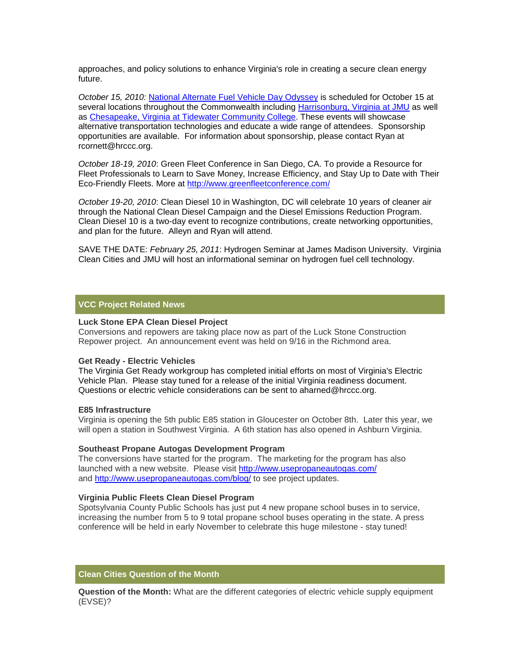approaches, and policy solutions to enhance Virginia's role in creating a secure clean energy future.

*October 15, 2010:* [National Alternate Fuel Vehicle Day Odyssey](https://pod51004.outlook.com/owa/redir.aspx?C=c55b5d8da5504e4b9d2a6b162813bcad&URL=http%3a%2f%2fr20.rs6.net%2ftn.jsp%3fllr%3dtdq8upcab%26et%3d1103711535908%26s%3d2933%26e%3d0016nwpHU_tBQDv_l_SDRX--rD_ZO44GYkEBRYO3lJX3WoOaefrRk6lp1CvLbmrhoNGpW84yp9Y29zinIL3IPfwIbSoCUCg5OKjugnWi4UBTFsfsEMgdoBH320yi9z988nY) is scheduled for October 15 at several locations throughout the Commonwealth including [Harrisonburg, Virginia at JMU](https://pod51004.outlook.com/owa/redir.aspx?C=c55b5d8da5504e4b9d2a6b162813bcad&URL=http%3a%2f%2fr20.rs6.net%2ftn.jsp%3fllr%3dtdq8upcab%26et%3d1103711535908%26s%3d2933%26e%3d0016nwpHU_tBQDpK8cEBpuakO8kyQLIrfLyYJu9sCtTuwY-eAsWJiKTxbVaL9QcEw4kz4RFsfcXjPrczn1J8AtbT5NcMNZktAYhKP8aRXKLwd0XU7B5tFKL4_pddlbr-fzk2pMQAsVD-Fs%3d) as well as [Chesapeake, Virginia at Tidewater Community College.](https://pod51004.outlook.com/owa/redir.aspx?C=c55b5d8da5504e4b9d2a6b162813bcad&URL=http%3a%2f%2fr20.rs6.net%2ftn.jsp%3fllr%3dtdq8upcab%26et%3d1103711535908%26s%3d2933%26e%3d0016nwpHU_tBQCgCwG0s3lmRkGLe7I-e4Vk1nQhMhEsdl8ZRa2A1oy44luRRSRyTcuOR76e6HbBr_BkHzRtWS9R2vchY0pdkjC1lq2xmPYqbMKGjB_n1UQyd3Qv6rS2SL3XgptT0FrMzNc%3d) These events will showcase alternative transportation technologies and educate a wide range of attendees. Sponsorship opportunities are available. For information about sponsorship, please contact Ryan at rcornett@hrccc.org.

*October 18-19, 2010*: Green Fleet Conference in San Diego, CA. To provide a Resource for Fleet Professionals to Learn to Save Money, Increase Efficiency, and Stay Up to Date with Their Eco-Friendly Fleets. More at [http://www.greenfleetconference.com/](https://pod51004.outlook.com/owa/redir.aspx?C=c55b5d8da5504e4b9d2a6b162813bcad&URL=http%3a%2f%2fr20.rs6.net%2ftn.jsp%3fllr%3dtdq8upcab%26et%3d1103711535908%26s%3d2933%26e%3d0016nwpHU_tBQBCYDb6LNtakP1-KAngbAB_jTR-t8JmC6xD2vSBzrh1bNpvrm7BK1Nx6VdZT33be7NcCxjFcxCWawZbtT9T1xVWcFE6sfMNQ-Q4PLYOQzvTEsbhUxgMVG3c)

*October 19-20, 2010*: Clean Diesel 10 in Washington, DC will celebrate 10 years of cleaner air through the National Clean Diesel Campaign and the Diesel Emissions Reduction Program. Clean Diesel 10 is a two-day event to recognize contributions, create networking opportunities, and plan for the future. Alleyn and Ryan will attend.

SAVE THE DATE: *February 25, 2011*: Hydrogen Seminar at James Madison University. Virginia Clean Cities and JMU will host an informational seminar on hydrogen fuel cell technology.

# **VCC Project Related News**

#### **Luck Stone EPA Clean Diesel Project**

Conversions and repowers are taking place now as part of the Luck Stone Construction Repower project. An announcement event was held on 9/16 in the Richmond area.

#### **Get Ready - Electric Vehicles**

The Virginia Get Ready workgroup has completed initial efforts on most of Virginia's Electric Vehicle Plan. Please stay tuned for a release of the initial Virginia readiness document. Questions or electric vehicle considerations can be sent to aharned@hrccc.org.

#### **E85 Infrastructure**

Virginia is opening the 5th public E85 station in Gloucester on October 8th. Later this year, we will open a station in Southwest Virginia. A 6th station has also opened in Ashburn Virginia.

#### **Southeast Propane Autogas Development Program**

The conversions have started for the program. The marketing for the program has also launched with a new website. Please visit [http://www.usepropaneautogas.com/](https://pod51004.outlook.com/owa/redir.aspx?C=c55b5d8da5504e4b9d2a6b162813bcad&URL=http%3a%2f%2fr20.rs6.net%2ftn.jsp%3fllr%3dtdq8upcab%26et%3d1103711535908%26s%3d2933%26e%3d0016nwpHU_tBQAix-GZW0Y3w4ThKpiU_SzxM7NYEeEPubMi4Ud7CTz2jWlH0IumQg6qm4MDsD38G3ZYEGfGrfY5c023r_oGgCGf0UOK61Tn6uQUXNpwcYkkeMTHIg8PnRtn) and [http://www.usepropaneautogas.com/blog/](https://pod51004.outlook.com/owa/redir.aspx?C=c55b5d8da5504e4b9d2a6b162813bcad&URL=http%3a%2f%2fr20.rs6.net%2ftn.jsp%3fllr%3dtdq8upcab%26et%3d1103711535908%26s%3d2933%26e%3d0016nwpHU_tBQArv1Q11ieO_VkWvIIN-fZpQ9CbA73yV2DKVBscS1gWXu8A3Xe4A8hudGNGdBaBlrf1JjATzprabj-kNGUKEi9eRNFk1wnCuL5QmfGDtTqH2Cw-2CtXmFhCb6a2Ml9aOW0%3d) to see project updates.

#### **Virginia Public Fleets Clean Diesel Program**

Spotsylvania County Public Schools has just put 4 new propane school buses in to service, increasing the number from 5 to 9 total propane school buses operating in the state. A press conference will be held in early November to celebrate this huge milestone - stay tuned!

# **Clean Cities Question of the Month**

**Question of the Month:** What are the different categories of electric vehicle supply equipment (EVSE)?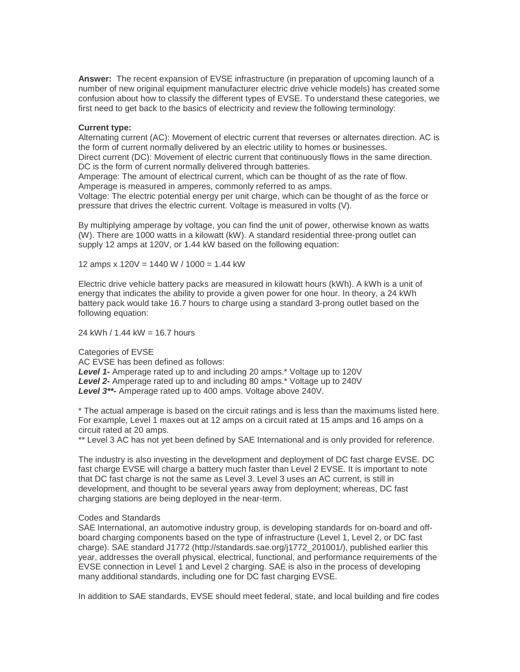**Answer:** The recent expansion of EVSE infrastructure (in preparation of upcoming launch of a number of new original equipment manufacturer electric drive vehicle models) has created some confusion about how to classify the different types of EVSE. To understand these categories, we first need to get back to the basics of electricity and review the following terminology:

### **Current type:**

Alternating current (AC): Movement of electric current that reverses or alternates direction. AC is the form of current normally delivered by an electric utility to homes or businesses.

Direct current (DC): Movement of electric current that continuously flows in the same direction. DC is the form of current normally delivered through batteries.

Amperage: The amount of electrical current, which can be thought of as the rate of flow. Amperage is measured in amperes, commonly referred to as amps.

Voltage: The electric potential energy per unit charge, which can be thought of as the force or pressure that drives the electric current. Voltage is measured in volts (V).

By multiplying amperage by voltage, you can find the unit of power, otherwise known as watts (W). There are 1000 watts in a kilowatt (kW). A standard residential three-prong outlet can supply 12 amps at 120V, or 1.44 kW based on the following equation:

12 amps x 120V = 1440 W / 1000 = 1.44 kW

Electric drive vehicle battery packs are measured in kilowatt hours (kWh). A kWh is a unit of energy that indicates the ability to provide a given power for one hour. In theory, a 24 kWh battery pack would take 16.7 hours to charge using a standard 3-prong outlet based on the following equation:

24 kWh / 1.44 kW = 16.7 hours

Categories of EVSE AC EVSE has been defined as follows: *Level 1-* Amperage rated up to and including 20 amps.\* Voltage up to 120V *Level 2***-** Amperage rated up to and including 80 amps.\* Voltage up to 240V *Level 3\*\*-* Amperage rated up to 400 amps. Voltage above 240V.

\* The actual amperage is based on the circuit ratings and is less than the maximums listed here. For example, Level 1 maxes out at 12 amps on a circuit rated at 15 amps and 16 amps on a circuit rated at 20 amps.

\*\* Level 3 AC has not yet been defined by SAE International and is only provided for reference.

The industry is also investing in the development and deployment of DC fast charge EVSE. DC fast charge EVSE will charge a battery much faster than Level 2 EVSE. It is important to note that DC fast charge is not the same as Level 3. Level 3 uses an AC current, is still in development, and thought to be several years away from deployment; whereas, DC fast charging stations are being deployed in the near-term.

#### Codes and Standards

SAE International, an automotive industry group, is developing standards for on-board and offboard charging components based on the type of infrastructure (Level 1, Level 2, or DC fast charge). SAE standard J1772 (http://standards.sae.org/j1772\_201001/), published earlier this year, addresses the overall physical, electrical, functional, and performance requirements of the EVSE connection in Level 1 and Level 2 charging. SAE is also in the process of developing many additional standards, including one for DC fast charging EVSE.

In addition to SAE standards, EVSE should meet federal, state, and local building and fire codes